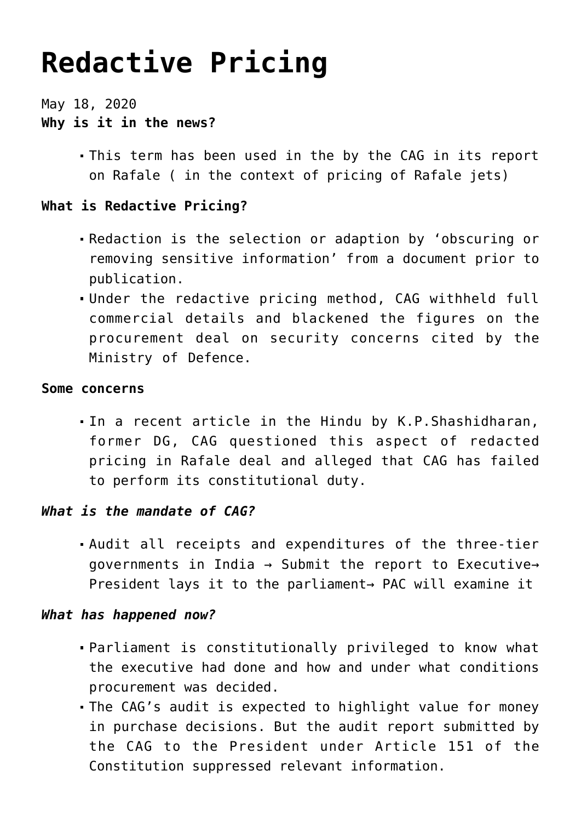# **[Redactive Pricing](https://journalsofindia.com/redactive-pricing/)**

May 18, 2020 **Why is it in the news?**

> This term has been used in the by the CAG in its report on Rafale ( in the context of pricing of Rafale jets)

# **What is Redactive Pricing?**

- Redaction is the selection or adaption by 'obscuring or removing sensitive information' from a document prior to publication.
- Under the redactive pricing method, CAG withheld full commercial details and blackened the figures on the procurement deal on security concerns cited by the Ministry of Defence.

#### **Some concerns**

In a recent article in the Hindu by K.P.Shashidharan, former DG, CAG questioned this aspect of redacted pricing in Rafale deal and alleged that CAG has failed to perform its constitutional duty.

## *What is the mandate of CAG?*

Audit all receipts and expenditures of the three-tier governments in India → Submit the report to Executive→ President lays it to the parliament→ PAC will examine it

## *What has happened now?*

- Parliament is constitutionally privileged to know what the executive had done and how and under what conditions procurement was decided.
- The CAG's audit is expected to highlight value for money in purchase decisions. But the audit report submitted by the CAG to the President under Article 151 of the Constitution suppressed relevant information.